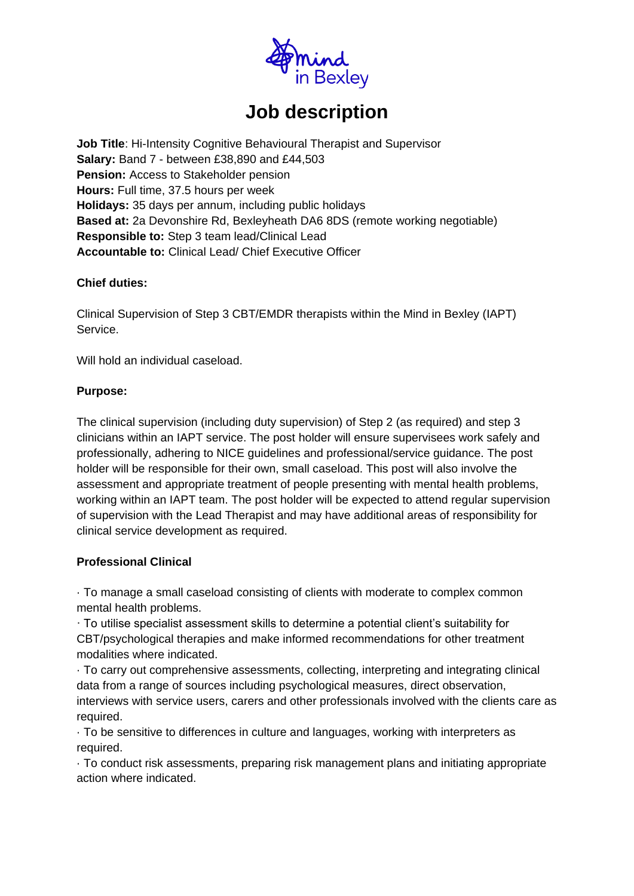

# **Job description**

**Job Title: Hi-Intensity Cognitive Behavioural Therapist and Supervisor Salary:** Band 7 - between £38,890 and £44,503 **Pension:** Access to Stakeholder pension **Hours:** Full time, 37.5 hours per week **Holidays:** 35 days per annum, including public holidays **Based at:** 2a Devonshire Rd, Bexleyheath DA6 8DS (remote working negotiable) **Responsible to:** Step 3 team lead/Clinical Lead **Accountable to:** Clinical Lead/ Chief Executive Officer

#### **Chief duties:**

Clinical Supervision of Step 3 CBT/EMDR therapists within the Mind in Bexley (IAPT) Service.

Will hold an individual caseload.

#### **Purpose:**

The clinical supervision (including duty supervision) of Step 2 (as required) and step 3 clinicians within an IAPT service. The post holder will ensure supervisees work safely and professionally, adhering to NICE guidelines and professional/service guidance. The post holder will be responsible for their own, small caseload. This post will also involve the assessment and appropriate treatment of people presenting with mental health problems, working within an IAPT team. The post holder will be expected to attend regular supervision of supervision with the Lead Therapist and may have additional areas of responsibility for clinical service development as required.

#### **Professional Clinical**

· To manage a small caseload consisting of clients with moderate to complex common mental health problems.

· To utilise specialist assessment skills to determine a potential client's suitability for CBT/psychological therapies and make informed recommendations for other treatment modalities where indicated.

· To carry out comprehensive assessments, collecting, interpreting and integrating clinical data from a range of sources including psychological measures, direct observation, interviews with service users, carers and other professionals involved with the clients care as required.

· To be sensitive to differences in culture and languages, working with interpreters as required.

· To conduct risk assessments, preparing risk management plans and initiating appropriate action where indicated.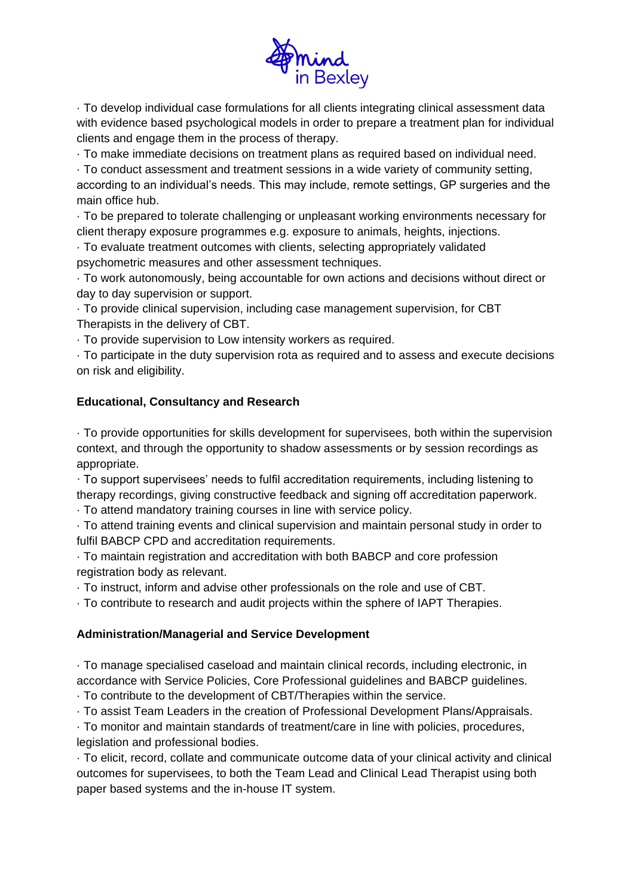

· To develop individual case formulations for all clients integrating clinical assessment data with evidence based psychological models in order to prepare a treatment plan for individual clients and engage them in the process of therapy.

· To make immediate decisions on treatment plans as required based on individual need.

· To conduct assessment and treatment sessions in a wide variety of community setting, according to an individual's needs. This may include, remote settings, GP surgeries and the main office hub.

· To be prepared to tolerate challenging or unpleasant working environments necessary for client therapy exposure programmes e.g. exposure to animals, heights, injections.

· To evaluate treatment outcomes with clients, selecting appropriately validated psychometric measures and other assessment techniques.

· To work autonomously, being accountable for own actions and decisions without direct or day to day supervision or support.

· To provide clinical supervision, including case management supervision, for CBT Therapists in the delivery of CBT.

· To provide supervision to Low intensity workers as required.

· To participate in the duty supervision rota as required and to assess and execute decisions on risk and eligibility.

#### **Educational, Consultancy and Research**

· To provide opportunities for skills development for supervisees, both within the supervision context, and through the opportunity to shadow assessments or by session recordings as appropriate.

· To support supervisees' needs to fulfil accreditation requirements, including listening to therapy recordings, giving constructive feedback and signing off accreditation paperwork.

· To attend mandatory training courses in line with service policy.

· To attend training events and clinical supervision and maintain personal study in order to fulfil BABCP CPD and accreditation requirements.

· To maintain registration and accreditation with both BABCP and core profession registration body as relevant.

· To instruct, inform and advise other professionals on the role and use of CBT.

· To contribute to research and audit projects within the sphere of IAPT Therapies.

#### **Administration/Managerial and Service Development**

· To manage specialised caseload and maintain clinical records, including electronic, in accordance with Service Policies, Core Professional guidelines and BABCP guidelines.

· To contribute to the development of CBT/Therapies within the service.

· To assist Team Leaders in the creation of Professional Development Plans/Appraisals.

· To monitor and maintain standards of treatment/care in line with policies, procedures, legislation and professional bodies.

· To elicit, record, collate and communicate outcome data of your clinical activity and clinical outcomes for supervisees, to both the Team Lead and Clinical Lead Therapist using both paper based systems and the in-house IT system.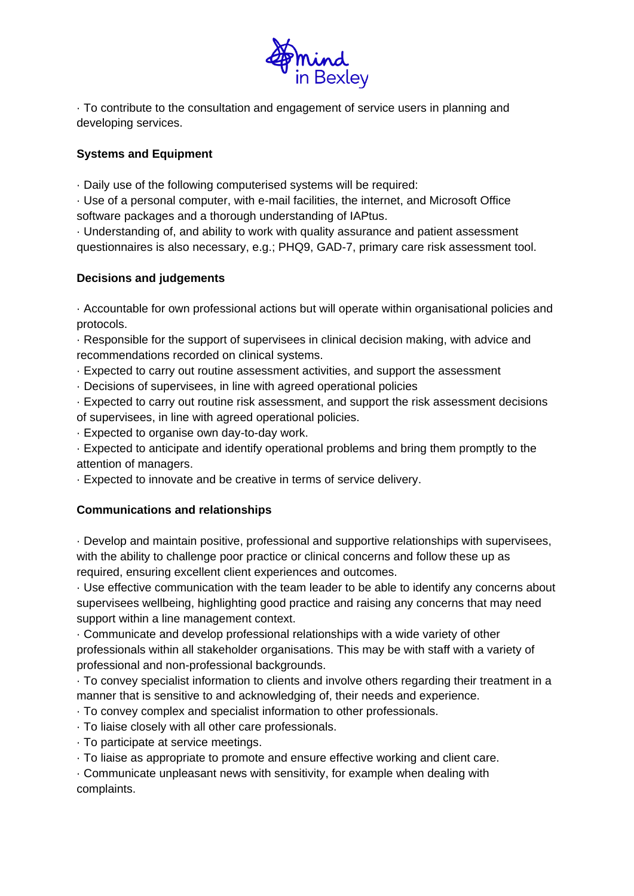

· To contribute to the consultation and engagement of service users in planning and developing services.

### **Systems and Equipment**

· Daily use of the following computerised systems will be required:

· Use of a personal computer, with e-mail facilities, the internet, and Microsoft Office software packages and a thorough understanding of IAPtus.

· Understanding of, and ability to work with quality assurance and patient assessment questionnaires is also necessary, e.g.; PHQ9, GAD-7, primary care risk assessment tool.

## **Decisions and judgements**

· Accountable for own professional actions but will operate within organisational policies and protocols.

· Responsible for the support of supervisees in clinical decision making, with advice and recommendations recorded on clinical systems.

· Expected to carry out routine assessment activities, and support the assessment

· Decisions of supervisees, in line with agreed operational policies

· Expected to carry out routine risk assessment, and support the risk assessment decisions of supervisees, in line with agreed operational policies.

· Expected to organise own day-to-day work.

· Expected to anticipate and identify operational problems and bring them promptly to the attention of managers.

· Expected to innovate and be creative in terms of service delivery.

# **Communications and relationships**

· Develop and maintain positive, professional and supportive relationships with supervisees, with the ability to challenge poor practice or clinical concerns and follow these up as required, ensuring excellent client experiences and outcomes.

· Use effective communication with the team leader to be able to identify any concerns about supervisees wellbeing, highlighting good practice and raising any concerns that may need support within a line management context.

· Communicate and develop professional relationships with a wide variety of other professionals within all stakeholder organisations. This may be with staff with a variety of professional and non-professional backgrounds.

· To convey specialist information to clients and involve others regarding their treatment in a manner that is sensitive to and acknowledging of, their needs and experience.

- · To convey complex and specialist information to other professionals.
- · To liaise closely with all other care professionals.
- · To participate at service meetings.
- · To liaise as appropriate to promote and ensure effective working and client care.

· Communicate unpleasant news with sensitivity, for example when dealing with complaints.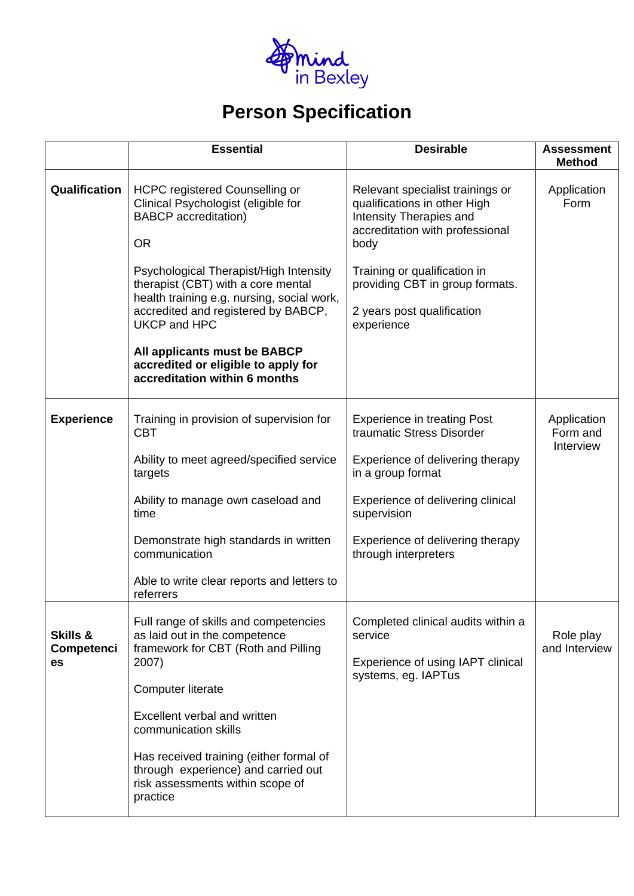

# **Person Specification**

|                                         | <b>Essential</b>                                                                                                                                                                                                                                                                                                                                                                                                             | <b>Desirable</b>                                                                                                                                                                                                                                      | <b>Assessment</b><br><b>Method</b>   |
|-----------------------------------------|------------------------------------------------------------------------------------------------------------------------------------------------------------------------------------------------------------------------------------------------------------------------------------------------------------------------------------------------------------------------------------------------------------------------------|-------------------------------------------------------------------------------------------------------------------------------------------------------------------------------------------------------------------------------------------------------|--------------------------------------|
| Qualification                           | <b>HCPC</b> registered Counselling or<br>Clinical Psychologist (eligible for<br><b>BABCP</b> accreditation)<br><b>OR</b><br>Psychological Therapist/High Intensity<br>therapist (CBT) with a core mental<br>health training e.g. nursing, social work,<br>accredited and registered by BABCP,<br><b>UKCP and HPC</b><br>All applicants must be BABCP<br>accredited or eligible to apply for<br>accreditation within 6 months | Relevant specialist trainings or<br>qualifications in other High<br>Intensity Therapies and<br>accreditation with professional<br>body<br>Training or qualification in<br>providing CBT in group formats.<br>2 years post qualification<br>experience | Application<br>Form                  |
| <b>Experience</b>                       | Training in provision of supervision for<br><b>CBT</b><br>Ability to meet agreed/specified service<br>targets<br>Ability to manage own caseload and<br>time<br>Demonstrate high standards in written<br>communication<br>Able to write clear reports and letters to<br>referrers                                                                                                                                             | <b>Experience in treating Post</b><br>traumatic Stress Disorder<br>Experience of delivering therapy<br>in a group format<br>Experience of delivering clinical<br>supervision<br>Experience of delivering therapy<br>through interpreters              | Application<br>Form and<br>Interview |
| <b>Skills &amp;</b><br>Competenci<br>es | Full range of skills and competencies<br>as laid out in the competence<br>framework for CBT (Roth and Pilling<br>2007)<br><b>Computer literate</b><br>Excellent verbal and written<br>communication skills<br>Has received training (either formal of<br>through experience) and carried out<br>risk assessments within scope of<br>practice                                                                                 | Completed clinical audits within a<br>service<br>Experience of using IAPT clinical<br>systems, eg. IAPTus                                                                                                                                             | Role play<br>and Interview           |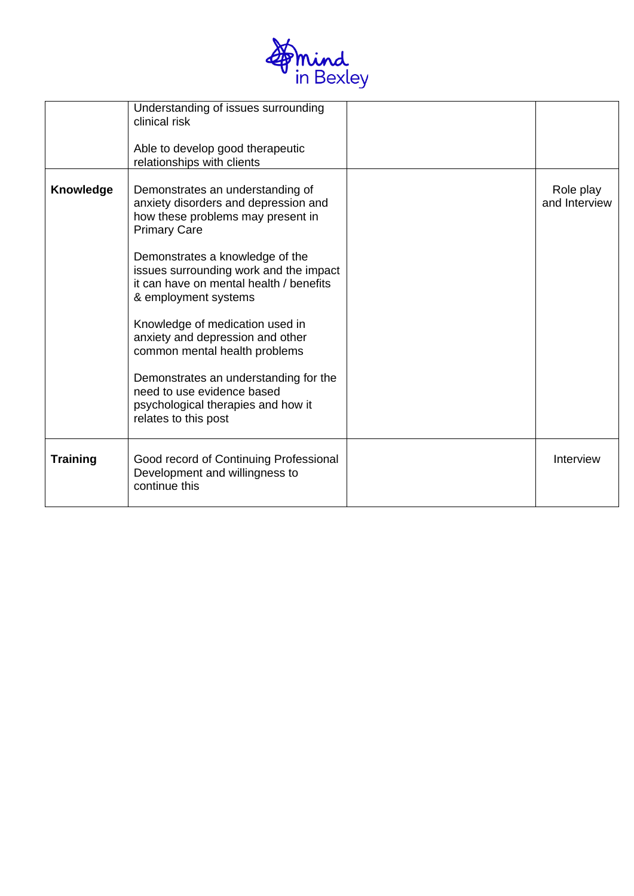

|                  | Understanding of issues surrounding<br>clinical risk<br>Able to develop good therapeutic<br>relationships with clients                                                                                                                                                                                                                                                                                                                                                                                                            |                            |
|------------------|-----------------------------------------------------------------------------------------------------------------------------------------------------------------------------------------------------------------------------------------------------------------------------------------------------------------------------------------------------------------------------------------------------------------------------------------------------------------------------------------------------------------------------------|----------------------------|
| <b>Knowledge</b> | Demonstrates an understanding of<br>anxiety disorders and depression and<br>how these problems may present in<br><b>Primary Care</b><br>Demonstrates a knowledge of the<br>issues surrounding work and the impact<br>it can have on mental health / benefits<br>& employment systems<br>Knowledge of medication used in<br>anxiety and depression and other<br>common mental health problems<br>Demonstrates an understanding for the<br>need to use evidence based<br>psychological therapies and how it<br>relates to this post | Role play<br>and Interview |
| <b>Training</b>  | Good record of Continuing Professional<br>Development and willingness to<br>continue this                                                                                                                                                                                                                                                                                                                                                                                                                                         | Interview                  |